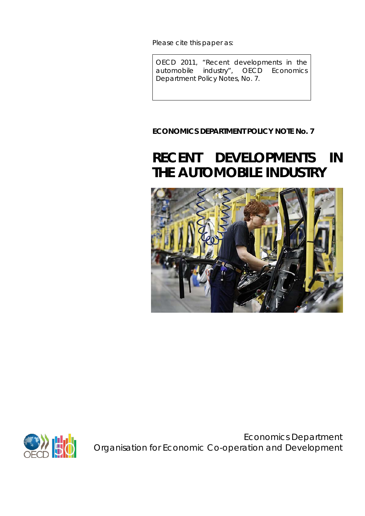Please cite this paper as:

OECD 2011, "Recent developments in the automobile industry", *OECD Economics Department Policy Notes,* No. 7.

# **ECONOMICS DEPARTMENT POLICY NOTE No. 7**

# **RECENT DEVELOPMENTS IN THE AUTOMOBILE INDUSTRY**





Economics Department Organisation for Economic Co-operation and Development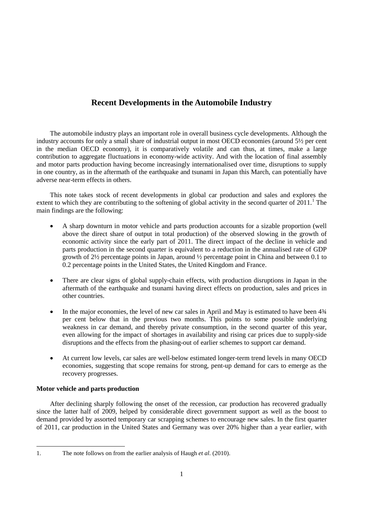## **Recent Developments in the Automobile Industry**

The automobile industry plays an important role in overall business cycle developments. Although the industry accounts for only a small share of industrial output in most OECD economies (around 5½ per cent in the median OECD economy), it is comparatively volatile and can thus, at times, make a large contribution to aggregate fluctuations in economy-wide activity. And with the location of final assembly and motor parts production having become increasingly internationalised over time, disruptions to supply in one country, as in the aftermath of the earthquake and tsunami in Japan this March, can potentially have adverse near-term effects in others.

This note takes stock of recent developments in global car production and sales and explores the extent to which they are contributing to the softening of global activity in the second quarter of 20[1](#page-1-0)1.<sup>1</sup> The main findings are the following:

- A sharp downturn in motor vehicle and parts production accounts for a sizable proportion (well above the direct share of output in total production) of the observed slowing in the growth of economic activity since the early part of 2011. The direct impact of the decline in vehicle and parts production in the second quarter is equivalent to a reduction in the annualised rate of GDP growth of 2½ percentage points in Japan, around ½ percentage point in China and between 0.1 to 0.2 percentage points in the United States, the United Kingdom and France.
- There are clear signs of global supply-chain effects, with production disruptions in Japan in the aftermath of the earthquake and tsunami having direct effects on production, sales and prices in other countries.
- In the major economies, the level of new car sales in April and May is estimated to have been  $4\frac{3}{4}$ per cent below that in the previous two months. This points to some possible underlying weakness in car demand, and thereby private consumption, in the second quarter of this year, even allowing for the impact of shortages in availability and rising car prices due to supply-side disruptions and the effects from the phasing-out of earlier schemes to support car demand.
- At current low levels, car sales are well-below estimated longer-term trend levels in many OECD economies, suggesting that scope remains for strong, pent-up demand for cars to emerge as the recovery progresses.

## **Motor vehicle and parts production**

 $\overline{a}$ 

After declining sharply following the onset of the recession, car production has recovered gradually since the latter half of 2009, helped by considerable direct government support as well as the boost to demand provided by assorted temporary car scrapping schemes to encourage new sales. In the first quarter of 2011, car production in the United States and Germany was over 20% higher than a year earlier, with

<span id="page-1-0"></span><sup>1.</sup> The note follows on from the earlier analysis of Haugh *et al*. (2010).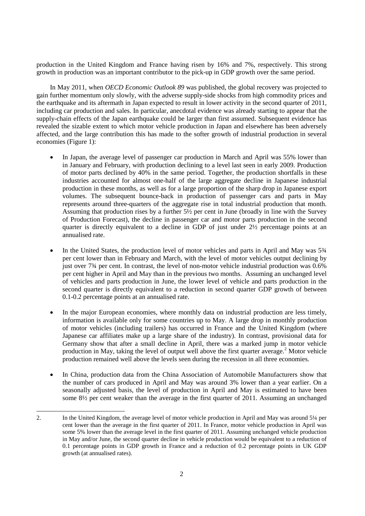production in the United Kingdom and France having risen by 16% and 7%, respectively. This strong growth in production was an important contributor to the pick-up in GDP growth over the same period.

In May 2011, when *OECD Economic Outlook 89* was published, the global recovery was projected to gain further momentum only slowly, with the adverse supply-side shocks from high commodity prices and the earthquake and its aftermath in Japan expected to result in lower activity in the second quarter of 2011, including car production and sales. In particular, anecdotal evidence was already starting to appear that the supply-chain effects of the Japan earthquake could be larger than first assumed. Subsequent evidence has revealed the sizable extent to which motor vehicle production in Japan and elsewhere has been adversely affected, and the large contribution this has made to the softer growth of industrial production in several economies (Figure 1):

- In Japan, the average level of passenger car production in March and April was 55% lower than in January and February, with production declining to a level last seen in early 2009. Production of motor parts declined by 40% in the same period. Together, the production shortfalls in these industries accounted for almost one-half of the large aggregate decline in Japanese industrial production in these months, as well as for a large proportion of the sharp drop in Japanese export volumes. The subsequent bounce-back in production of passenger cars and parts in May represents around three-quarters of the aggregate rise in total industrial production that month. Assuming that production rises by a further 5½ per cent in June (broadly in line with the Survey of Production Forecast), the decline in passenger car and motor parts production in the second quarter is directly equivalent to a decline in GDP of just under  $2\frac{1}{2}$  percentage points at an annualised rate.
- In the United States, the production level of motor vehicles and parts in April and May was  $5\frac{3}{4}$ per cent lower than in February and March, with the level of motor vehicles output declining by just over 7¾ per cent. In contrast, the level of non-motor vehicle industrial production was 0.6% per cent higher in April and May than in the previous two months. Assuming an unchanged level of vehicles and parts production in June, the lower level of vehicle and parts production in the second quarter is directly equivalent to a reduction in second quarter GDP growth of between 0.1-0.2 percentage points at an annualised rate.
- In the major European economies, where monthly data on industrial production are less timely, information is available only for some countries up to May. A large drop in monthly production of motor vehicles (including trailers) has occurred in France and the United Kingdom (where Japanese car affiliates make up a large share of the industry). In contrast, provisional data for Germany show that after a small decline in April, there was a marked jump in motor vehicle production in May, taking the level of output well above the first quarter average.<sup>[2](#page-2-0)</sup> Motor vehicle production remained well above the levels seen during the recession in all three economies.
- In China, production data from the China Association of Automobile Manufacturers show that the number of cars produced in April and May was around 3% lower than a year earlier. On a seasonally adjusted basis, the level of production in April and May is estimated to have been some 8½ per cent weaker than the average in the first quarter of 2011. Assuming an unchanged

<span id="page-2-0"></span> $\overline{a}$ 2. In the United Kingdom, the average level of motor vehicle production in April and May was around 5¼ per cent lower than the average in the first quarter of 2011. In France, motor vehicle production in April was some 5% lower than the average level in the first quarter of 2011. Assuming unchanged vehicle production in May and/or June, the second quarter decline in vehicle production would be equivalent to a reduction of 0.1 percentage points in GDP growth in France and a reduction of 0.2 percentage points in UK GDP growth (at annualised rates).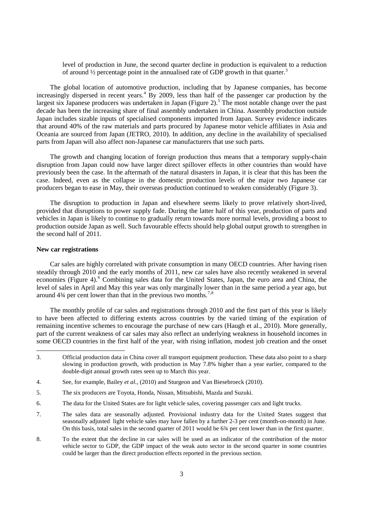level of production in June, the second quarter decline in production is equivalent to a reduction of around  $\frac{1}{2}$  percentage point in the annualised rate of GDP growth in that quarter.<sup>[3](#page-3-0)</sup>

The global location of automotive production, including that by Japanese companies, has become increasingly dispersed in recent years.<sup>[4](#page-3-1)</sup> By 2009, less than half of the passenger car production by the largest six Japanese producers was undertaken in Japan (Figure 2).<sup>[5](#page-3-2)</sup> The most notable change over the past decade has been the increasing share of final assembly undertaken in China. Assembly production outside Japan includes sizable inputs of specialised components imported from Japan. Survey evidence indicates that around 40% of the raw materials and parts procured by Japanese motor vehicle affiliates in Asia and Oceania are sourced from Japan (JETRO, 2010). In addition, any decline in the availability of specialised parts from Japan will also affect non-Japanese car manufacturers that use such parts.

The growth and changing location of foreign production thus means that a temporary supply-chain disruption from Japan could now have larger direct spillover effects in other countries than would have previously been the case. In the aftermath of the natural disasters in Japan, it is clear that this has been the case. Indeed, even as the collapse in the domestic production levels of the major two Japanese car producers began to ease in May, their overseas production continued to weaken considerably (Figure 3).

The disruption to production in Japan and elsewhere seems likely to prove relatively short-lived, provided that disruptions to power supply fade. During the latter half of this year, production of parts and vehicles in Japan is likely to continue to gradually return towards more normal levels, providing a boost to production outside Japan as well. Such favourable effects should help global output growth to strengthen in the second half of 2011.

#### **New car registrations**

 $\overline{a}$ 

Car sales are highly correlated with private consumption in many OECD countries. After having risen steadily through 2010 and the early months of 2011, new car sales have also recently weakened in several economies (Figure 4).<sup>[6](#page-3-3)</sup> Combining sales data for the United States, Japan, the euro area and China, the level of sales in April and May this year was only marginally lower than in the same period a year ago, but around  $4\frac{3}{4}$  per cent lower than that in the previous two months.<sup>[7](#page-3-4),[8](#page-3-5)</sup>

The monthly profile of car sales and registrations through 2010 and the first part of this year is likely to have been affected to differing extents across countries by the varied timing of the expiration of remaining incentive schemes to encourage the purchase of new cars (Haugh et al., 2010). More generally, part of the current weakness of car sales may also reflect an underlying weakness in household incomes in some OECD countries in the first half of the year, with rising inflation, modest job creation and the onset

- <span id="page-3-2"></span>5. The six producers are Toyota, Honda, Nissan, Mitsubishi, Mazda and Suzuki.
- <span id="page-3-3"></span>6. The data for the United States are for light vehicle sales, covering passenger cars and light trucks.
- <span id="page-3-4"></span>7. The sales data are seasonally adjusted. Provisional industry data for the United States suggest that seasonally adjusted light vehicle sales may have fallen by a further 2-3 per cent (month-on-month) in June. On this basis, total sales in the second quarter of 2011 would be 6¾ per cent lower than in the first quarter.
- <span id="page-3-5"></span>8. To the extent that the decline in car sales will be used as an indicator of the contribution of the motor vehicle sector to GDP, the GDP impact of the weak auto sector in the second quarter in some countries could be larger than the direct production effects reported in the previous section.

<span id="page-3-0"></span><sup>3.</sup> Official production data in China cover all transport equipment production. These data also point to a sharp slowing in production growth, with production in May 7.8% higher than a year earlier, compared to the double-digit annual growth rates seen up to March this year.

<span id="page-3-1"></span><sup>4.</sup> See, for example, Bailey *et al*., (2010) and Sturgeon and Van Biesebroeck (2010).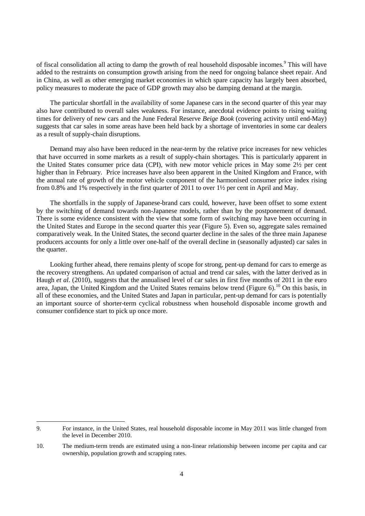of fiscal consolidation all acting to damp the growth of real household disposable incomes.<sup>[9](#page-4-0)</sup> This will have added to the restraints on consumption growth arising from the need for ongoing balance sheet repair. And in China, as well as other emerging market economies in which spare capacity has largely been absorbed, policy measures to moderate the pace of GDP growth may also be damping demand at the margin.

The particular shortfall in the availability of some Japanese cars in the second quarter of this year may also have contributed to overall sales weakness. For instance, anecdotal evidence points to rising waiting times for delivery of new cars and the June Federal Reserve *Beige Book* (covering activity until end-May) suggests that car sales in some areas have been held back by a shortage of inventories in some car dealers as a result of supply-chain disruptions.

Demand may also have been reduced in the near-term by the relative price increases for new vehicles that have occurred in some markets as a result of supply-chain shortages. This is particularly apparent in the United States consumer price data (CPI), with new motor vehicle prices in May some 2½ per cent higher than in February. Price increases have also been apparent in the United Kingdom and France, with the annual rate of growth of the motor vehicle component of the harmonised consumer price index rising from 0.8% and 1% respectively in the first quarter of 2011 to over 1½ per cent in April and May.

The shortfalls in the supply of Japanese-brand cars could, however, have been offset to some extent by the switching of demand towards non-Japanese models, rather than by the postponement of demand. There is some evidence consistent with the view that some form of switching may have been occurring in the United States and Europe in the second quarter this year (Figure 5). Even so, aggregate sales remained comparatively weak. In the United States, the second quarter decline in the sales of the three main Japanese producers accounts for only a little over one-half of the overall decline in (seasonally adjusted) car sales in the quarter.

Looking further ahead, there remains plenty of scope for strong, pent-up demand for cars to emerge as the recovery strengthens. An updated comparison of actual and trend car sales, with the latter derived as in Haugh *et al.* (2010), suggests that the annualised level of car sales in first five months of 2011 in the euro area, Japan, the United Kingdom and the United States remains below trend (Figure 6).<sup>[10](#page-4-1)</sup> On this basis, in all of these economies, and the United States and Japan in particular, pent-up demand for cars is potentially an important source of shorter-term cyclical robustness when household disposable income growth and consumer confidence start to pick up once more.

 $\overline{a}$ 

<span id="page-4-0"></span><sup>9.</sup> For instance, in the United States, real household disposable income in May 2011 was little changed from the level in December 2010.

<span id="page-4-1"></span><sup>10.</sup> The medium-term trends are estimated using a non-linear relationship between income per capita and car ownership, population growth and scrapping rates.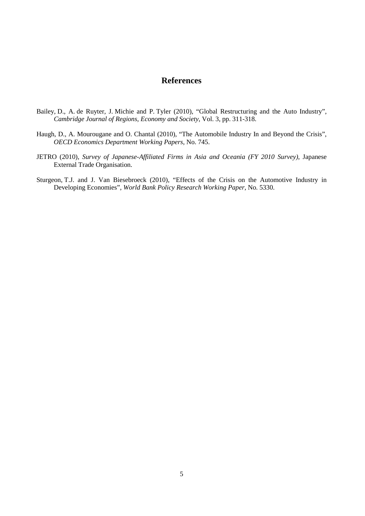## **References**

- Bailey, D., A. de Ruyter, J. Michie and P. Tyler (2010), "Global Restructuring and the Auto Industry", *Cambridge Journal of Regions, Economy and Society*, Vol. 3, pp. 311-318.
- Haugh, D., A. Mourougane and O. Chantal (2010), "The Automobile Industry In and Beyond the Crisis", *OECD Economics Department Working Papers*, No. 745.
- JETRO (2010), *Survey of Japanese-Affiliated Firms in Asia and Oceania (FY 2010 Survey)*, Japanese External Trade Organisation.
- Sturgeon, T.J. and J. Van Biesebroeck (2010), "Effects of the Crisis on the Automotive Industry in Developing Economies", *World Bank Policy Research Working Paper*, No. 5330.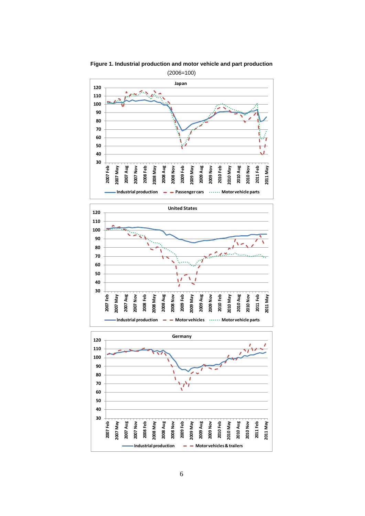

**Figure 1. Industrial production and motor vehicle and part production**



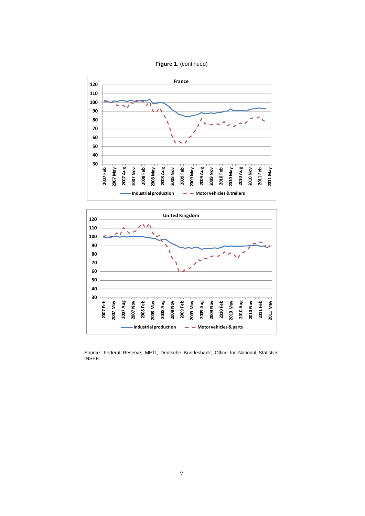





Source: Federal Reserve; METI; Deutsche Bundesbank; Office for National Statistics; INSEE.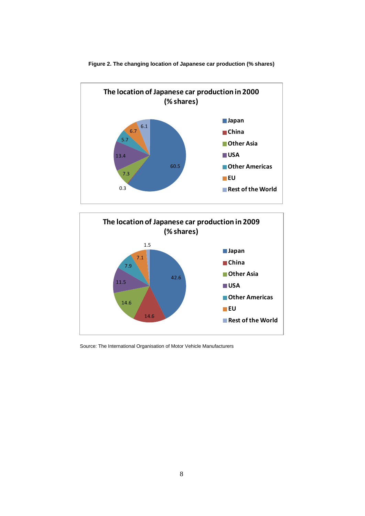

**Figure 2. The changing location of Japanese car production (% shares)**



Source: The International Organisation of Motor Vehicle Manufacturers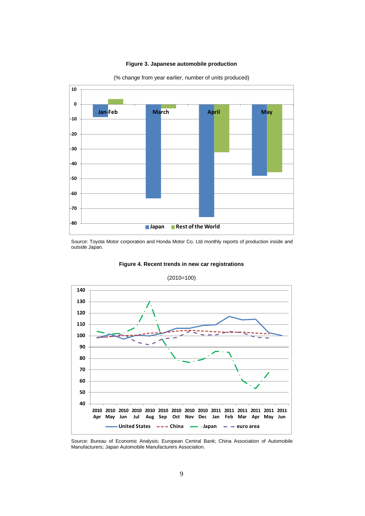#### **Figure 3. Japanese automobile production**



(% change from year earlier, number of units produced)

Source: Toyota Motor corporation and Honda Motor Co. Ltd monthly reports of production inside and outside Japan.



(2010=100)

**Figure 4. Recent trends in new car registrations** 

Source: Bureau of Economic Analysis; European Central Bank; China Association of Automobile Manufacturers; Japan Automobile Manufacturers Association.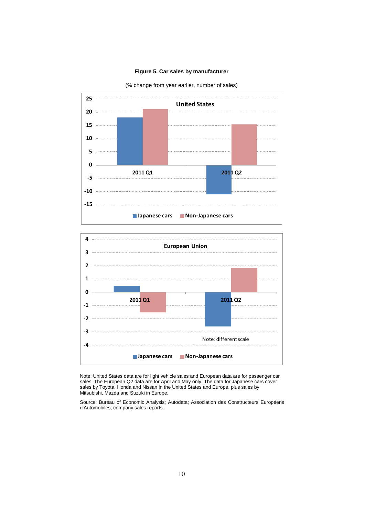### **Figure 5. Car sales by manufacturer**

(% change from year earlier, number of sales)





Note: United States data are for light vehicle sales and European data are for passenger car sales. The European Q2 data are for April and May only. The data for Japanese cars cover sales by Toyota, Honda and Nissan in the United States and Europe, plus sales by Mitsubishi, Mazda and Suzuki in Europe.

Source: Bureau of Economic Analysis; Autodata; Association des Constructeurs Européens d'Automobiles; company sales reports.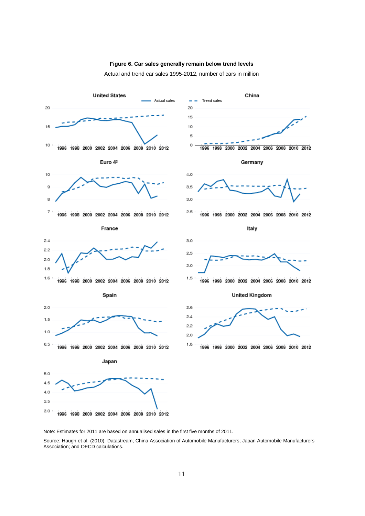

Actual and trend car sales 1995-2012, number of cars in million



Note: Estimates for 2011 are based on annualised sales in the first five months of 2011.

Source: Haugh et al. (2010); Datastream; China Association of Automobile Manufacturers; Japan Automobile Manufacturers Association; and OECD calculations.